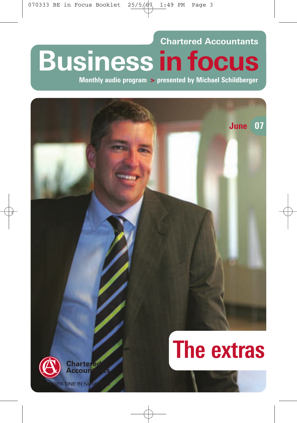# **Chartered Accountants Business in focus**

**Monthly audio program > presented by Michael Schildberger**

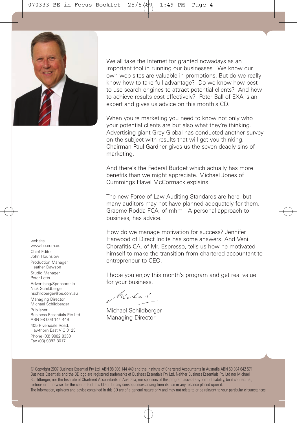

We all take the Internet for granted nowadays as an important tool in running our businesses. We know our own web sites are valuable in promotions. But do we really know how to take full advantage? Do we know how best to use search engines to attract potential clients? And how to achieve results cost effectively? Peter Ball of EXA is an expert and gives us advice on this month's CD.

When you're marketing you need to know not only who your potential clients are but also what they're thinking. Advertising giant Grey Global has conducted another survey on the subject with results that will get you thinking. Chairman Paul Gardner gives us the seven deadly sins of marketing.

And there's the Federal Budget which actually has more benefits than we might appreciate. Michael Jones of Cummings Flavel McCormack explains.

The new Force of Law Auditing Standards are here, but many auditors may not have planned adequately for them. Graeme Rodda FCA, of mhm - A personal approach to business, has advice.

How do we manage motivation for success? Jennifer Harwood of Direct Incite has some answers. And Veni Chorafitis CA, of Mr. Espresso, tells us how he motivated himself to make the transition from chartered accountant to entrepreneur to CEO.

I hope you enjoy this month's program and get real value for your business.

Wichal

Michael Schildberger Managing Director

© Copyright 2007 Business Essential Pty Ltd ABN 98 006 144 449 and the Institute of Chartered Accountants in Australia ABN 50 084 642 571. Business Essentials and the BE logo are registered trademarks of Business Essentials Pty Ltd. Neither Business Essentials Pty Ltd nor Michael Schildberger, nor the Institute of Chartered Accountants in Australia, nor sponsors of this program accept any form of liability, be it contractual, tortious or otherwise, for the contents of this CD or for any consequences arising from its use or any reliance placed upon it. The information, opinions and advice contained in this CD are of a general nature only and may not relate to or be relevant to your particular circumstances.

website www.be.com.au Chief Editor John Hounslow Production Manager Heather Dawson Studio Manager Peter Letts Advertising/Sponsorship

Nick Schildberger nschildberger@be.com.au

Managing Director Michael Schildberger Publisher

Business Essentials Pty Ltd ABN 98 006 144 449

405 Riversdale Road, Hawthorn East VIC 3123 Phone (03) 9882 8333 Fax (03) 9882 8017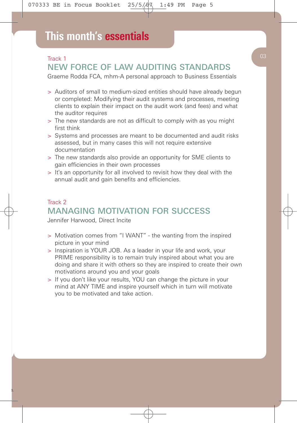## Track 1 NEW FORCE OF LAW AUDITING STANDARDS

Graeme Rodda FCA, mhm-A personal approach to Business Essentials

- > Auditors of small to medium-sized entities should have already begun or completed: Modifying their audit systems and processes, meeting clients to explain their impact on the audit work (and fees) and what the auditor requires
- > The new standards are not as difficult to comply with as you might first think
- > Systems and processes are meant to be documented and audit risks assessed, but in many cases this will not require extensive documentation
- > The new standards also provide an opportunity for SME clients to gain efficiencies in their own processes
- > It's an opportunity for all involved to revisit how they deal with the annual audit and gain benefits and efficiencies.

## Track 2 MANAGING MOTIVATION FOR SUCCESS

Jennifer Harwood, Direct Incite

- > Motivation comes from "I WANT" the wanting from the inspired picture in your mind
- > Inspiration is YOUR JOB. As a leader in your life and work, your PRIME responsibility is to remain truly inspired about what you are doing and share it with others so they are inspired to create their own motivations around you and your goals
- > If you don't like your results, YOU can change the picture in your mind at ANY TIME and inspire yourself which in turn will motivate you to be motivated and take action.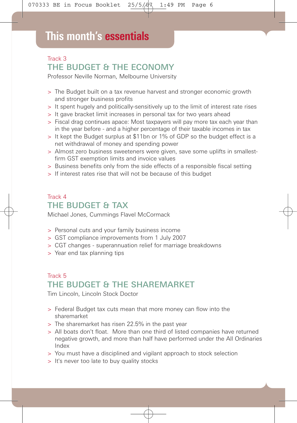## **This month's essentials**

## Track 3 THE BUDGET & THE ECONOMY

Professor Neville Norman, Melbourne University

- > The Budget built on a tax revenue harvest and stronger economic growth and stronger business profits
- > It spent hugely and politically-sensitively up to the limit of interest rate rises
- > It gave bracket limit increases in personal tax for two years ahead
- > Fiscal drag continues apace: Most taxpayers will pay more tax each year than in the year before - and a higher percentage of their taxable incomes in tax
- > It kept the Budget surplus at \$11bn or 1% of GDP so the budget effect is a net withdrawal of money and spending power
- > Almost zero business sweeteners were given, save some uplifts in smallestfirm GST exemption limits and invoice values
- > Business benefits only from the side effects of a responsible fiscal setting
- > If interest rates rise that will not be because of this budget

## Track 4 THE BUDGET & TAX

Michael Jones, Cummings Flavel McCormack

- > Personal cuts and your family business income
- > GST compliance improvements from 1 July 2007
- > CGT changes superannuation relief for marriage breakdowns
- > Year end tax planning tips

## Track 5 THE BUDGET & THE SHAREMARKET

Tim Lincoln, Lincoln Stock Doctor

- > Federal Budget tax cuts mean that more money can flow into the sharemarket
- > The sharemarket has risen 22.5% in the past year
- > All boats don't float. More than one third of listed companies have returned negative growth, and more than half have performed under the All Ordinaries Index
- > You must have a disciplined and vigilant approach to stock selection
- > It's never too late to buy quality stocks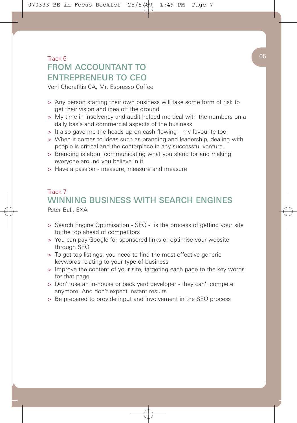## $\begin{pmatrix} 0 & 0 \\ 0 & 0 \end{pmatrix}$ FROM ACCOUNTANT TO ENTREPRENEUR TO CEO

Veni Chorafitis CA, Mr. Espresso Coffee

- > Any person starting their own business will take some form of risk to get their vision and idea off the ground
- > My time in insolvency and audit helped me deal with the numbers on a daily basis and commercial aspects of the business
- > It also gave me the heads up on cash flowing my favourite tool
- > When it comes to ideas such as branding and leadership, dealing with people is critical and the centerpiece in any successful venture.
- > Branding is about communicating what you stand for and making everyone around you believe in it
- > Have a passion measure, measure and measure

### Track 7 WINNING BUSINESS WITH SFARCH ENGINES

Peter Ball, EXA

- > Search Engine Optimisation SEO is the process of getting your site to the top ahead of competitors
- > You can pay Google for sponsored links or optimise your website through SEO
- > To get top listings, you need to find the most effective generic keywords relating to your type of business
- > Improve the content of your site, targeting each page to the key words for that page
- > Don't use an in-house or back yard developer they can't compete anymore. And don't expect instant results
- > Be prepared to provide input and involvement in the SEO process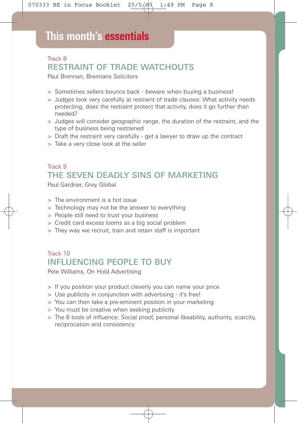## **This month's essentials**

### Track 8 RESTRAINT OF TRADE WATCHOUTS

Paul Brennan, Brennans Solicitors

- > Sometimes sellers bounce back beware when buying a business!
- > Judges look very carefully at restraint of trade clauses: What activity needs protecting, does the restraint protect that activity, does it go further than needed?
- > Judges will consider geographic range, the duration of the restraint, and the type of business being restrained
- > Draft the restraint very carefully get a lawyer to draw up the contract
- > Take a very close look at the seller

## Track 9 THE SEVEN DEADLY SINS OF MARKETING

Paul Gardner, Grey Global

- > The environment is a hot issue
- > Technology may not be the answer to everything
- > People still need to trust your business
- > Credit card excess looms as a big social problem
- > They way we recruit, train and retain staff is important

### Track 10 INFLUENCING PEOPLE TO BUY

Pete Williams, On Hold Advertising

- > If you position your product cleverly you can name your price
- > Use publicity in conjunction with advertising it's free!
- > You can then take a pre-eminent position in your marketing
- > You must be creative when seeking publicity
- > The 6 tools of influence: Social proof, personal likeability, authority, scarcity, reciprocation and consistency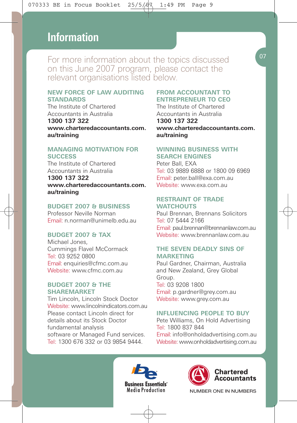## **This month's essentials Information**

For more information about the topics discussed on this June 2007 program, please contact the relevant organisations listed below.

#### **NEW FORCE OF LAW AUDITING STANDARDS**

The Institute of Chartered Accountants in Australia **1300 137 322 www.charteredaccountants.com. au/training**

#### **MANAGING MOTIVATION FOR SUCCESS**

The Institute of Chartered Accountants in Australia

**1300 137 322 www.charteredaccountants.com. au/training**

#### **BUDGET 2007 & BUSINESS**

Professor Neville Norman Email: n.norman@unimelb.edu.au

#### **BUDGET 2007 & TAX**

Michael Jones, Cummings Flavel McCormack Tel: 03 9252 0800 Email: enquiries@cfmc.com.au Website: www.cfmc.com.au

#### **BUDGET 2007 & THE SHAREMARKET**

Tim Lincoln, Lincoln Stock Doctor Website: www.lincolnindicators.com.au. Please contact Lincoln direct for details about its Stock Doctor fundamental analysis software or Managed Fund services. Tel: 1300 676 332 or 03 9854 9444.

#### **FROM ACCOUNTANT TO ENTREPRENEUR TO CEO**

The Institute of Chartered Accountants in Australia **1300 137 322 www.charteredaccountants.com. au/training**

#### **WINNING BUSINESS WITH SEARCH ENGINES**

Peter Ball, EXA Tel: 03 9889 6888 or 1800 09 6969 Email: peter.ball@exa.com.au Website: www.exa.com.au

#### **RESTRAINT OF TRADE WATCHOUTS**

Paul Brennan, Brennans Solicitors Tel: 07 5444 2166 Email: paul.brennan@brennanlaw.com.au Website: www.brennanlaw.com.au

#### **THE SEVEN DEADLY SINS OF MARKETING**

Paul Gardner, Chairman, Australia and New Zealand, Grey Global Group. Tel: 03 9208 1800 Email: p.gardner@grey.com.au Website: www.grey.com.au

#### **INFLUENCING PEOPLE TO BUY**

Pete Williams, On Hold Advertising Tel: 1800 837 844 Email: info@onholdadvertising.com.au Website: www.onholdadvertising.com.au







 $0<sub>7</sub>$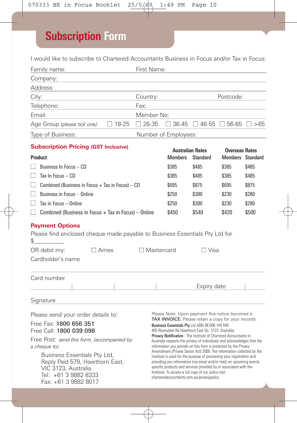## **Subscription Form**

I would like to subscribe to Chartered Accountants Business in Focus and/or Tax in Focus:

| Family name:<br>the control of the control of the                                                                                                               |              | First Name:                                                                                                                                                                                                                                                                                                                                                                                                                                                           |                                                                                                                                                                                                                                                                                                                                                               |                 |                                                   |       |  |  |
|-----------------------------------------------------------------------------------------------------------------------------------------------------------------|--------------|-----------------------------------------------------------------------------------------------------------------------------------------------------------------------------------------------------------------------------------------------------------------------------------------------------------------------------------------------------------------------------------------------------------------------------------------------------------------------|---------------------------------------------------------------------------------------------------------------------------------------------------------------------------------------------------------------------------------------------------------------------------------------------------------------------------------------------------------------|-----------------|---------------------------------------------------|-------|--|--|
| Company:                                                                                                                                                        |              |                                                                                                                                                                                                                                                                                                                                                                                                                                                                       |                                                                                                                                                                                                                                                                                                                                                               |                 |                                                   |       |  |  |
| Address:                                                                                                                                                        |              |                                                                                                                                                                                                                                                                                                                                                                                                                                                                       |                                                                                                                                                                                                                                                                                                                                                               |                 |                                                   |       |  |  |
| City:                                                                                                                                                           |              |                                                                                                                                                                                                                                                                                                                                                                                                                                                                       | Country:<br>Postcode:                                                                                                                                                                                                                                                                                                                                         |                 |                                                   |       |  |  |
| Telephone:                                                                                                                                                      | Fax:         |                                                                                                                                                                                                                                                                                                                                                                                                                                                                       |                                                                                                                                                                                                                                                                                                                                                               |                 |                                                   |       |  |  |
| Email:                                                                                                                                                          | Member No:   |                                                                                                                                                                                                                                                                                                                                                                                                                                                                       |                                                                                                                                                                                                                                                                                                                                                               |                 |                                                   |       |  |  |
| Age Group (please tick one):                                                                                                                                    | $\Box$ 18-25 | $\Box$ 26-35                                                                                                                                                                                                                                                                                                                                                                                                                                                          |                                                                                                                                                                                                                                                                                                                                                               |                 | $\Box$ 36-45 $\Box$ 46-55 $\Box$ 56-65 $\Box$ >65 |       |  |  |
| Type of Business:<br>Number of Employees:                                                                                                                       |              |                                                                                                                                                                                                                                                                                                                                                                                                                                                                       |                                                                                                                                                                                                                                                                                                                                                               |                 |                                                   |       |  |  |
| <b>Subscription Pricing (GST Inclusive)</b>                                                                                                                     |              |                                                                                                                                                                                                                                                                                                                                                                                                                                                                       |                                                                                                                                                                                                                                                                                                                                                               |                 |                                                   |       |  |  |
| Product                                                                                                                                                         |              |                                                                                                                                                                                                                                                                                                                                                                                                                                                                       | <b>Australian Rates</b><br><b>Members</b>                                                                                                                                                                                                                                                                                                                     | <b>Standard</b> | <b>Overseas Rates</b><br><b>Members</b> Standard  |       |  |  |
| Business In Focus - CD                                                                                                                                          |              |                                                                                                                                                                                                                                                                                                                                                                                                                                                                       | \$385                                                                                                                                                                                                                                                                                                                                                         | \$485           | \$385                                             | \$485 |  |  |
| Tax In Focus - CD                                                                                                                                               | \$385        | \$485                                                                                                                                                                                                                                                                                                                                                                                                                                                                 | \$385                                                                                                                                                                                                                                                                                                                                                         | \$485           |                                                   |       |  |  |
| Combined (Business in Focus $+$ Tax in Focus) $-$ CD<br>$\mathsf{L}$                                                                                            | \$695        | \$875                                                                                                                                                                                                                                                                                                                                                                                                                                                                 | \$695                                                                                                                                                                                                                                                                                                                                                         | \$875           |                                                   |       |  |  |
| Business in Focus - Online<br>$\Box$                                                                                                                            | \$250        | \$300                                                                                                                                                                                                                                                                                                                                                                                                                                                                 | \$230                                                                                                                                                                                                                                                                                                                                                         | \$280           |                                                   |       |  |  |
| Tax in Focus - Online<br>$\Box$                                                                                                                                 | \$250        | \$300                                                                                                                                                                                                                                                                                                                                                                                                                                                                 | \$230                                                                                                                                                                                                                                                                                                                                                         | \$280           |                                                   |       |  |  |
| Combined (Business in Focus $+$ Tax in Focus) – Online<br>$\Box$                                                                                                |              |                                                                                                                                                                                                                                                                                                                                                                                                                                                                       | \$450                                                                                                                                                                                                                                                                                                                                                         | \$540           | \$420                                             | \$500 |  |  |
| <b>Payment Options</b><br>Please find enclosed cheque made payable to Business Essentials Pty Ltd for<br>\$<br>OR debit my:<br>$\Box$ Amex<br>Cardholder's name |              |                                                                                                                                                                                                                                                                                                                                                                                                                                                                       | $\Box$ Mastercard                                                                                                                                                                                                                                                                                                                                             | $\Box$ Visa     |                                                   |       |  |  |
| Card number                                                                                                                                                     |              |                                                                                                                                                                                                                                                                                                                                                                                                                                                                       |                                                                                                                                                                                                                                                                                                                                                               |                 |                                                   |       |  |  |
|                                                                                                                                                                 |              |                                                                                                                                                                                                                                                                                                                                                                                                                                                                       |                                                                                                                                                                                                                                                                                                                                                               | Expiry date     |                                                   |       |  |  |
| Signature                                                                                                                                                       |              |                                                                                                                                                                                                                                                                                                                                                                                                                                                                       |                                                                                                                                                                                                                                                                                                                                                               |                 |                                                   |       |  |  |
| Please send your order details to:<br>Free Fax: 1800 656 351<br>Free Call: 1800 039 098<br>Free Post: send this form, (accompanied by                           |              |                                                                                                                                                                                                                                                                                                                                                                                                                                                                       | Please Note: Upon payment this notice becomes a<br>TAX INVOICE. Please retain a copy for your records.<br>Business Essentials Pty Ltd ABN 98 006 144 449<br>405 Riversdale Rd Hawthorn East Vic 3123 Australia<br>Privacy Notification - The Institute of Chartered Accountants in<br>Australia respects the privacy of individuals and acknowledges that the |                 |                                                   |       |  |  |
| a cheque to)<br>Business Essentials Pty Ltd,<br>Reply Paid 579, Hawthorn East,<br>VIC 3123. Australia<br>Tel: +61 3 9882 8333<br>Fax: +61 3 9882 8017           |              | information you provide on this form is protected by the Privacy<br>Amendment (Private Sector Act) 2000. The information collected by the<br>Institute is used for the purpose of processing your registration and<br>providing you information (via email and/or mail) on upcoming events,<br>specific products and services provided by or associated with the<br>Institute. To access a full copy of our policy visit<br>charteredaccountants.com.au/privacypolicy |                                                                                                                                                                                                                                                                                                                                                               |                 |                                                   |       |  |  |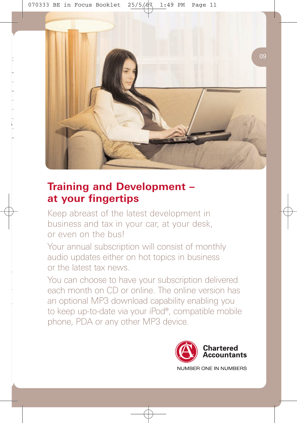

## **Training and Development – at your fingertips**

Keep abreast of the latest development in business and tax in your car, at your desk, or even on the bus!

Your annual subscription will consist of monthly audio updates either on hot topics in business or the latest tax news.

You can choose to have your subscription delivered each month on CD or online. The online version has an optional MP3 download capability enabling you to keep up-to-date via your iPod®, compatible mobile phone, PDA or any other MP3 device.

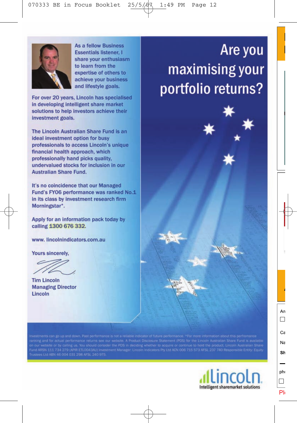

**As a fellow Business Essentials listener 1** share your enthusiasm to learn from the expertise of others to achieve your business and lifestyle goals.

For over 20 years, Lincoln has specialised in developing intelligent share market solutions to help investors achieve their investment goals.

The Lincoln Australian Share Fund is an **ideal investment option for busy** professionals to access Lincoln's unique financial health approach, which professionally hand picks quality. undervalued stocks for inclusion in our **Australian Share Fund.** 

It's no coincidence that our Managed Fund's FY06 performance was ranked No.1 in its class by investment research firm Morningstar\*.

Apply for an information pack today by calling 1300 676 332.

www.lincolnindicators.com.au

Yours sincerely.

**Tim Lincoln Managing Director** Lincoln

n our website or by calling us. You should consider the PDS in deciding whether to acquire or continue to bold the product. Lincoln Australian Share<br>und ARSN 111 734 279 (APIR ETLO043AU) Investment Manager: Lincoln Indicat



# Are you maximising your portfolio returns?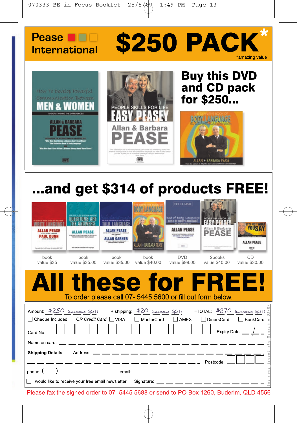



# ...and get \$314 of products FREE!

| ALLAN PEASE<br><b>PAUL DUNN</b><br>book<br>value \$35                                                                                                                         | OUESTIONS ARE<br><b>ALLAN PEASE</b><br>25-AUTOM-DF THE ATEMATICAN, ME 1 BETWEEN<br>Sear 1,000,000 Square Sete to 27 Languages<br>book<br>value \$35.00 | <b>ALLAN PEASE</b><br>ALLAN GARNER<br>book<br>value \$35.00 | <b>BODY LANGUAGE</b><br>LAN + BARBARA PEJ<br>book<br>value \$40.00 | THE ELAMIC<br><b>Best of Body Language</b><br>ALLAN PEASE<br><b>ASSISTENT AND REAL FIELDS</b><br><b><i>REGISTER! STATIST</i></b><br>$-700$<br><b>DVD</b><br>value \$99.00                                                                                                                                                                                                                                                                                                         | <b>PEOPLE SKILLS FOR</b><br>Allan & Barbara<br><b>PEASE</b><br>2books<br>value \$40.00 | <b>IT'S NOT WHAT</b><br>YOUST<br><b>ALLAN PEASE</b><br>484 08<br>CD<br>value \$30.00 |
|-------------------------------------------------------------------------------------------------------------------------------------------------------------------------------|--------------------------------------------------------------------------------------------------------------------------------------------------------|-------------------------------------------------------------|--------------------------------------------------------------------|-----------------------------------------------------------------------------------------------------------------------------------------------------------------------------------------------------------------------------------------------------------------------------------------------------------------------------------------------------------------------------------------------------------------------------------------------------------------------------------|----------------------------------------------------------------------------------------|--------------------------------------------------------------------------------------|
|                                                                                                                                                                               |                                                                                                                                                        |                                                             |                                                                    | To order please call 07-5445 5600 or fill out form below.                                                                                                                                                                                                                                                                                                                                                                                                                         | All these for FREE!                                                                    |                                                                                      |
| Аmount: <u>\$250 (марияна GST)</u> + shipping: <u>\$20 (марияна GST)</u> = TOTAL: <u>\$270 (марияна GST)</u><br>$\Box$ Cheque Included OR Credit Card $\Box$ VISA<br>Card No: |                                                                                                                                                        |                                                             | MasterCard                                                         | $\Box$ AMEX                                                                                                                                                                                                                                                                                                                                                                                                                                                                       | <b>DinersCard</b>                                                                      | BankCard<br>Expiry Date: /<br>×                                                      |
| Name on card:<br><b>Shipping Details</b>                                                                                                                                      | <u>ا است سے سب سے اس اور اس</u>                                                                                                                        | Address: ___ __ __ __ __ __ __ __                           |                                                                    | $\frac{1}{1-\alpha} \frac{1}{1-\alpha} \frac{1}{1-\alpha} \frac{1}{1-\alpha} \frac{1}{1-\alpha} \frac{1}{1-\alpha} \frac{1}{1-\alpha} \frac{1}{1-\alpha} \frac{1}{1-\alpha} \frac{1}{1-\alpha} \frac{1}{1-\alpha} \frac{1}{1-\alpha} \frac{1}{1-\alpha} \frac{1}{1-\alpha} \frac{1}{1-\alpha} \frac{1}{1-\alpha} \frac{1}{1-\alpha} \frac{1}{1-\alpha} \frac{1}{1-\alpha} \frac{1}{1-\alpha} \frac{1}{1-\alpha} \frac{1}{1-\alpha} \frac{1}{1-\alpha} \frac{1}{1-\alpha} \frac{1$ | Postcode:                                                                              | $\omega$                                                                             |
| I would like to receive your free email newsletter                                                                                                                            |                                                                                                                                                        |                                                             |                                                                    |                                                                                                                                                                                                                                                                                                                                                                                                                                                                                   | Signature: __ __ __ __ __ __ __ __ __ __                                               |                                                                                      |

Please fax the signed order to 07- 5445 5688 or send to PO Box 1260, Buderim, QLD 4556